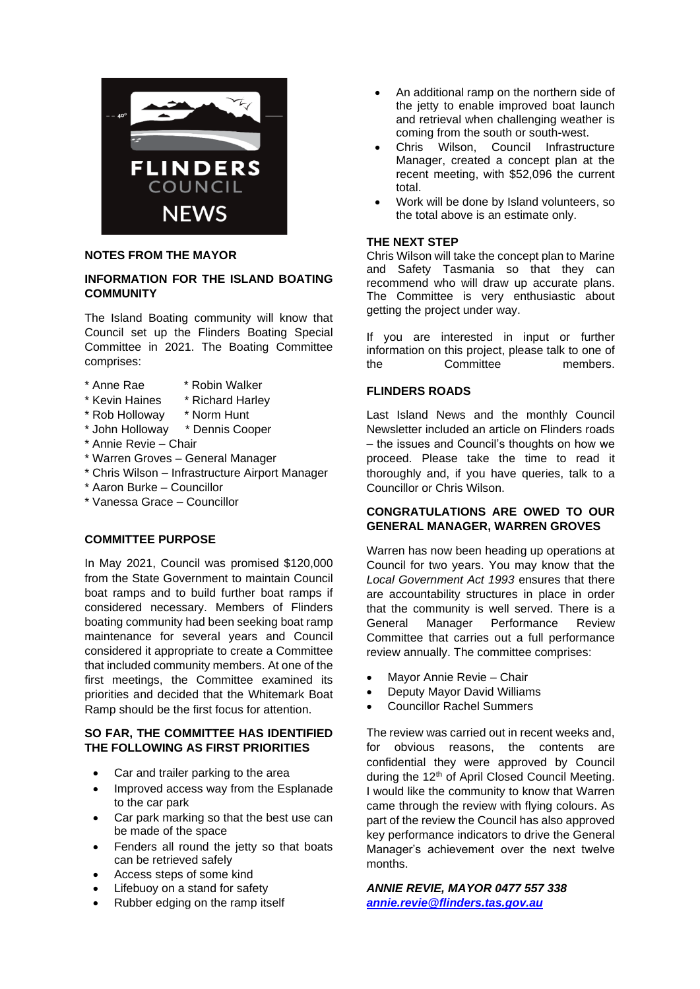

## **NOTES FROM THE MAYOR**

## **INFORMATION FOR THE ISLAND BOATING COMMUNITY**

The Island Boating community will know that Council set up the Flinders Boating Special Committee in 2021. The Boating Committee comprises:

- \* Anne Rae \* Robin Walker
- \* Kevin Haines \* Richard Harley
- \* Rob Holloway \* Norm Hunt
- \* John Holloway \* Dennis Cooper
- \* Annie Revie Chair
- \* Warren Groves General Manager
- \* Chris Wilson Infrastructure Airport Manager
- \* Aaron Burke Councillor
- \* Vanessa Grace Councillor

## **COMMITTEE PURPOSE**

In May 2021, Council was promised \$120,000 from the State Government to maintain Council boat ramps and to build further boat ramps if considered necessary. Members of Flinders boating community had been seeking boat ramp maintenance for several years and Council considered it appropriate to create a Committee that included community members. At one of the first meetings, the Committee examined its priorities and decided that the Whitemark Boat Ramp should be the first focus for attention.

#### **SO FAR, THE COMMITTEE HAS IDENTIFIED THE FOLLOWING AS FIRST PRIORITIES**

- Car and trailer parking to the area
- Improved access way from the Esplanade to the car park
- Car park marking so that the best use can be made of the space
- Fenders all round the jetty so that boats can be retrieved safely
- Access steps of some kind
- Lifebuoy on a stand for safety
- Rubber edging on the ramp itself
- An additional ramp on the northern side of the jetty to enable improved boat launch and retrieval when challenging weather is coming from the south or south-west.
- Chris Wilson, Council Infrastructure Manager, created a concept plan at the recent meeting, with \$52,096 the current total.
- Work will be done by Island volunteers, so the total above is an estimate only.

#### **THE NEXT STEP**

Chris Wilson will take the concept plan to Marine and Safety Tasmania so that they can recommend who will draw up accurate plans. The Committee is very enthusiastic about getting the project under way.

If you are interested in input or further information on this project, please talk to one of the Committee members.

## **FLINDERS ROADS**

Last Island News and the monthly Council Newsletter included an article on Flinders roads – the issues and Council's thoughts on how we proceed. Please take the time to read it thoroughly and, if you have queries, talk to a Councillor or Chris Wilson.

## **CONGRATULATIONS ARE OWED TO OUR GENERAL MANAGER, WARREN GROVES**

Warren has now been heading up operations at Council for two years. You may know that the *Local Government Act 1993* ensures that there are accountability structures in place in order that the community is well served. There is a General Manager Performance Review Committee that carries out a full performance review annually. The committee comprises:

- Mayor Annie Revie Chair
- Deputy Mayor David Williams
- Councillor Rachel Summers

The review was carried out in recent weeks and for obvious reasons, the contents are confidential they were approved by Council during the 12<sup>th</sup> of April Closed Council Meeting. I would like the community to know that Warren came through the review with flying colours. As part of the review the Council has also approved key performance indicators to drive the General Manager's achievement over the next twelve months.

*ANNIE REVIE, MAYOR 0477 557 338 [annie.revie@flinders.tas.gov.au](mailto:annie.revie@flinders.tas.gov.au)*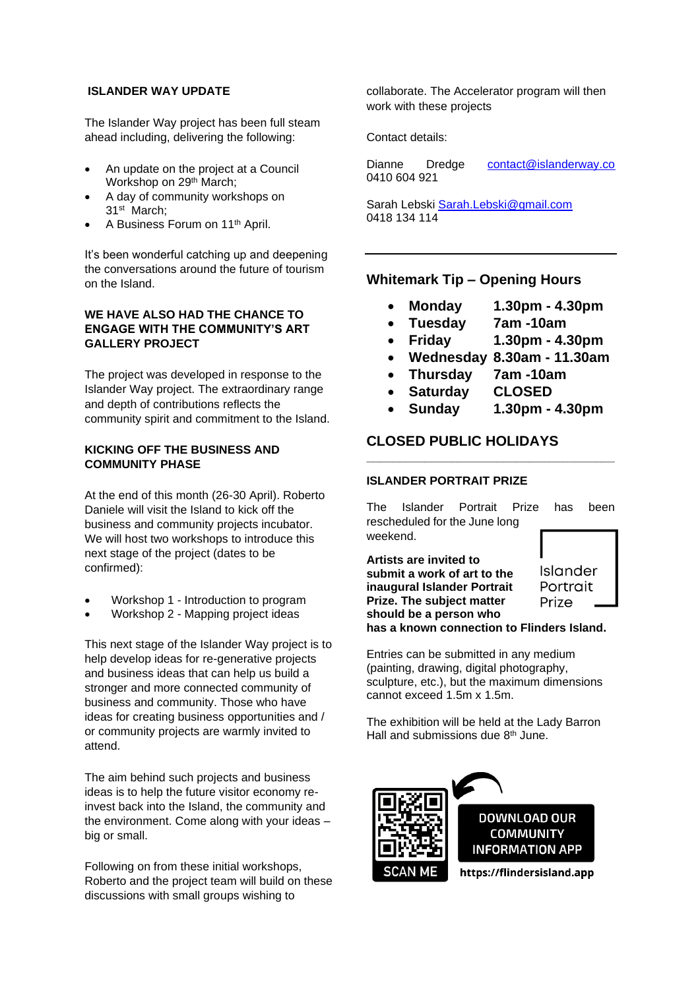#### **ISLANDER WAY UPDATE**

The Islander Way project has been full steam ahead including, delivering the following:

- An update on the project at a Council Workshop on 29<sup>th</sup> March;
- A day of community workshops on 31st March;
- A Business Forum on 11th April.

It's been wonderful catching up and deepening the conversations around the future of tourism on the Island.

#### **WE HAVE ALSO HAD THE CHANCE TO ENGAGE WITH THE COMMUNITY'S ART GALLERY PROJECT**

The project was developed in response to the Islander Way project. The extraordinary range and depth of contributions reflects the community spirit and commitment to the Island.

## **KICKING OFF THE BUSINESS AND COMMUNITY PHASE**

At the end of this month (26-30 April). Roberto Daniele will visit the Island to kick off the business and community projects incubator. We will host two workshops to introduce this next stage of the project (dates to be confirmed):

- Workshop 1 Introduction to program
- Workshop 2 Mapping project ideas

This next stage of the Islander Way project is to help develop ideas for re-generative projects and business ideas that can help us build a stronger and more connected community of business and community. Those who have ideas for creating business opportunities and / or community projects are warmly invited to attend.

The aim behind such projects and business ideas is to help the future visitor economy reinvest back into the Island, the community and the environment. Come along with your ideas – big or small.

Following on from these initial workshops, Roberto and the project team will build on these discussions with small groups wishing to

collaborate. The Accelerator program will then work with these projects

Contact details:

Dianne Dredge [contact@islanderway.co](mailto:contact@islanderway.co) 0410 604 921

Sarah Lebski [Sarah.Lebski@gmail.com](mailto:Sarah.Lebski@gmail.com) 0418 134 114

# **Whitemark Tip – Opening Hours**

- **Monday 1.30pm - 4.30pm**
- **Tuesday 7am -10am**
- **Friday 1.30pm - 4.30pm**
- **Wednesday 8.30am - 11.30am**
- **Thursday 7am -10am**
- **Saturday CLOSED**
- **Sunday 1.30pm - 4.30pm**

# **CLOSED PUBLIC HOLIDAYS**

## **ISLANDER PORTRAIT PRIZE**

The Islander Portrait Prize has been rescheduled for the June long weekend.

**\_\_\_\_\_\_\_\_\_\_\_\_\_\_\_\_\_\_\_\_\_\_\_\_\_\_\_\_\_\_\_\_\_\_\_\_\_\_**

**Artists are invited to**  Islander **submit a work of art to the inaugural Islander Portrait**  Portrait **Prize. The subject matter**  Prize **should be a person who has a known connection to Flinders Island.**

Entries can be submitted in any medium (painting, drawing, digital photography, sculpture, etc.), but the maximum dimensions cannot exceed 1.5m x 1.5m.

The exhibition will be held at the Lady Barron Hall and submissions due 8<sup>th</sup> June.